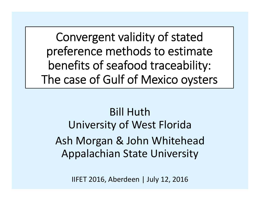Convergent validity of stated preference methods to estimate benefits of seafood traceability: The case of Gulf of Mexico oysters

#### Bill HuthUniversity of West Florida Ash Morgan & John Whitehead Appalachian State University

IIFET 2016, Aberdeen | July 12, 2016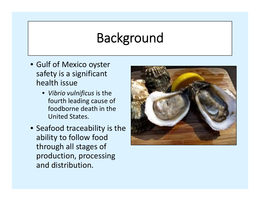## Background

- Gulf of Mexico oyster safety is <sup>a</sup> significant health issue
	- *Vibrio vulnificus* is the fourth leading cause of foodborne death in the United States.
- Seafood traceability is the ability to follow food through all stages of production, processing and distribution.

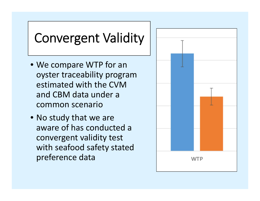# Convergent Validity

- We compare WTP for an oyster traceability program estimated with the CVMand CBM data under acommon scenario
- No study that we are aware of has conducted a convergent validity test with seafood safety stated preference data

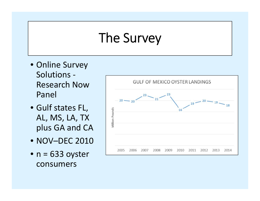## The Survey

- Online Survey Solutions ‐Research NowPanel
- Gulf states FL, AL, MS, LA, TX plus GA and CA
- NOV–DEC 2010
- n <sup>=</sup> 633 oyster consumers

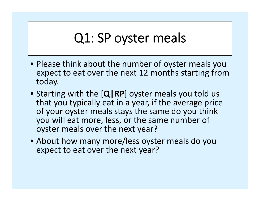## Q1: SP oyster meals

- Please think about the number of oyster meals you expect to eat over the next 12 months starting from today.
- Starting with the [**Q|RP**] oyster meals you told us that you typically eat in <sup>a</sup> year, if the average price of your oyster meals stays the same do you think you will eat more, less, or the same number of oyster meals over the next year?
- About how many more/less oyster meals do you expect to eat over the next year?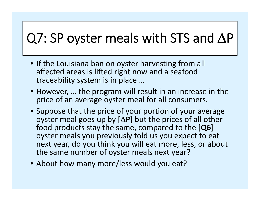# $Q7$ : SP oyster meals with STS and  $\Delta P$

- If the Louisiana ban on oyster harvesting from all affected areas is lifted right now and <sup>a</sup> seafood traceability system is in place …
- However, … the program will result in an increase in the price of an average oyster meal for all consumers.
- Suppose that the price of your portion of your average oyster meal goes up by  $[\Delta P]$  but the prices of all other food products stay the same, compared to the [**Q6**] oyster meals you previously told us you expect to eat next year, do you think you will eat more, less, or about the same number of oyster meals next year?
- About how many more/less would you eat?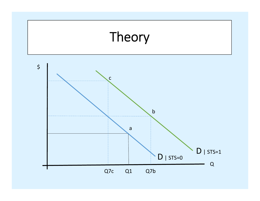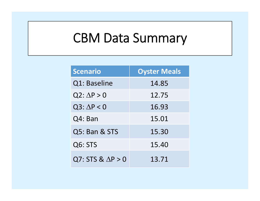# CBM Data Summary

| <b>Scenario</b>          | <b>Oyster Meals</b> |
|--------------------------|---------------------|
| Q1: Baseline             | 14.85               |
| $Q2: \Delta P > 0$       | 12.75               |
| $Q3: \Delta P < 0$       | 16.93               |
| Q4: Ban                  | 15.01               |
| Q5: Ban & STS            | 15.30               |
| Q6: STS                  | 15.40               |
| $Q7: STS & \Delta P > 0$ | 13.71               |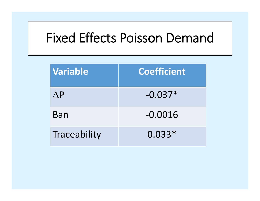#### Fixed Effects Poisson Demand

| Variable      | <b>Coefficient</b> |
|---------------|--------------------|
| $\bigwedge$ P | $-0.037*$          |
| Ban           | $-0.0016$          |
| Traceability  | $0.033*$           |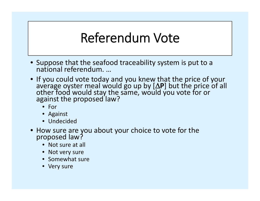## Referendum Vote

- Suppose that the seafood traceability system is put to <sup>a</sup> nationalreferendum. …
- If you could vote today and you knew that the price of your average oyster meal would go up by [**∆P**] but the price of all<br>other food would stay the same, would you vote for or against the proposed law?
	- For
	- Against
	- Undecided
- How sure are you about your choice to vote for the proposed law?
	- Not sure at all
	- Not very sure
	- Somewhat sure
	- Very sure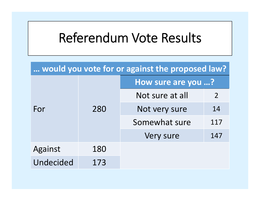#### Referendum Vote Results

| would you vote for or against the proposed law? |     |                    |     |  |
|-------------------------------------------------|-----|--------------------|-----|--|
| For                                             |     | How sure are you ? |     |  |
|                                                 |     | Not sure at all    | 2   |  |
|                                                 | 280 | Not very sure      | 14  |  |
|                                                 |     | Somewhat sure      | 117 |  |
|                                                 |     | Very sure          | 147 |  |
| Against                                         | 180 |                    |     |  |
| Undecided                                       | 173 |                    |     |  |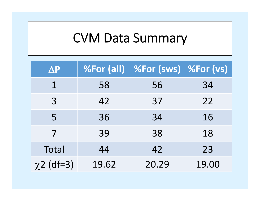# CVM Data Summary

| $\Delta P$      | %For (all) | <b>%For (sws)   %For (vs)</b> |       |
|-----------------|------------|-------------------------------|-------|
| $1\overline{ }$ | 58         | 56                            | 34    |
| 3               | 42         | 37                            | 22    |
| 5               | 36         | 34                            | 16    |
| 7               | 39         | 38                            | 18    |
| Total           | 44         | 42                            | 23    |
| $\chi$ 2 (df=3) | 19.62      | 20.29                         | 19.00 |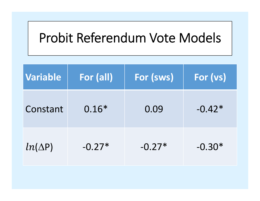## Probit Referendum Vote Models

| <b>Variable</b> | For (all) | <b>For (sws)</b> | For (vs) |
|-----------------|-----------|------------------|----------|
| Constant        | $0.16*$   | 0.09             | $-0.42*$ |
| $ln(\Delta P)$  | $-0.27*$  | $-0.27*$         | $-0.30*$ |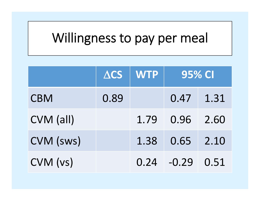# Willingness to pay per meal

|            | $\triangle$ CS | <b>WTP</b> | <b>95% CI</b> |      |
|------------|----------------|------------|---------------|------|
| <b>CBM</b> | 0.89           |            | 0.47          | 1.31 |
| CVM (all)  |                | 1.79       | 0.96          | 2.60 |
| CVM (sws)  |                | 1.38       | 0.65          | 2.10 |
| CVM (vs)   |                | 0.24       | $-0.29$       | 0.51 |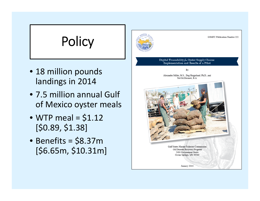# **Policy**

- 18 million pounds landings in 2014
- 7.5 million annual Gulf of Mexico oyster meals
- WTP meal <sup>=</sup> \$1.12 [\$0.89, \$1.38]
- Benefits <sup>=</sup> \$8.37m [\$6.65m, \$10.31m]